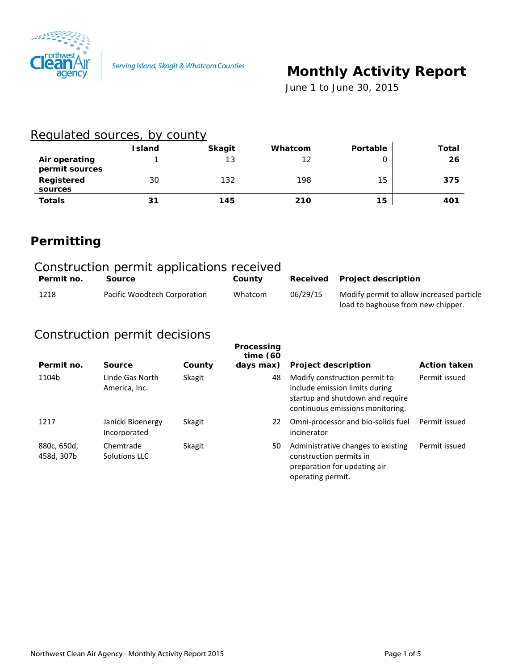

# **Monthly Activity Report**

 *June 1 to June 30, 2015*

#### Regulated sources, by county

|                                 | Island | <b>Skagit</b> | Whatcom           | <b>Portable</b> | Total |
|---------------------------------|--------|---------------|-------------------|-----------------|-------|
| Air operating<br>permit sources |        | 13            | $12 \overline{ }$ |                 | 26    |
| Registered<br>sources           | 30     | 132           | 198               | 15              | 375   |
| <b>Totals</b>                   | 31     | 145           | 210               | 15              | 401   |

# **Permitting**

| Construction permit applications received |                              |         |          |                                                                                 |  |  |
|-------------------------------------------|------------------------------|---------|----------|---------------------------------------------------------------------------------|--|--|
| Permit no.                                | Source                       | County  |          | Received Project description                                                    |  |  |
| 1218                                      | Pacific Woodtech Corporation | Whatcom | 06/29/15 | Modify permit to allow increased particle<br>load to baghouse from new chipper. |  |  |

### Construction permit decisions

| Permit no.                | Source                            | County | Processing<br>time $(60)$<br>days max) | <b>Project description</b>                                                                                                              | <b>Action taken</b> |
|---------------------------|-----------------------------------|--------|----------------------------------------|-----------------------------------------------------------------------------------------------------------------------------------------|---------------------|
| 1104b                     | Linde Gas North<br>America, Inc.  | Skagit | 48                                     | Modify construction permit to<br>include emission limits during<br>startup and shutdown and require<br>continuous emissions monitoring. | Permit issued       |
| 1217                      | Janicki Bioenergy<br>Incorporated | Skagit | 22                                     | Omni-processor and bio-solids fuel<br>incinerator                                                                                       | Permit issued       |
| 880c, 650d,<br>458d, 307b | Chemtrade<br>Solutions LLC        | Skagit | 50                                     | Administrative changes to existing<br>construction permits in<br>preparation for updating air<br>operating permit.                      | Permit issued       |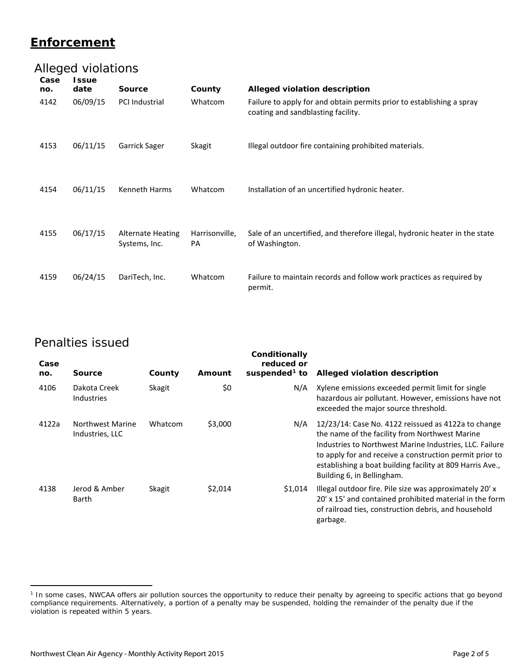#### **Enforcement**

## Alleged violations

| Case<br>no.<br>4142 | <b>Issue</b><br>date<br>06/09/15 | <b>Source</b><br>PCI Industrial           | County<br>Whatcom    | Alleged violation description<br>Failure to apply for and obtain permits prior to establishing a spray<br>coating and sandblasting facility. |
|---------------------|----------------------------------|-------------------------------------------|----------------------|----------------------------------------------------------------------------------------------------------------------------------------------|
| 4153                | 06/11/15                         | Garrick Sager                             | Skagit               | Illegal outdoor fire containing prohibited materials.                                                                                        |
| 4154                | 06/11/15                         | <b>Kenneth Harms</b>                      | Whatcom              | Installation of an uncertified hydronic heater.                                                                                              |
| 4155                | 06/17/15                         | <b>Alternate Heating</b><br>Systems, Inc. | Harrisonville,<br>PA | Sale of an uncertified, and therefore illegal, hydronic heater in the state<br>of Washington.                                                |
| 4159                | 06/24/15                         | DariTech, Inc.                            | Whatcom              | Failure to maintain records and follow work practices as required by<br>permit.                                                              |

#### Penalties issued

 $\overline{a}$ 

| Case<br>no. | <b>Source</b>                              | County  | Amount  | Conditionally<br>reduced or<br>suspended <sup>1</sup> to | Alleged violation description                                                                                                                                                                                                                                                                                          |
|-------------|--------------------------------------------|---------|---------|----------------------------------------------------------|------------------------------------------------------------------------------------------------------------------------------------------------------------------------------------------------------------------------------------------------------------------------------------------------------------------------|
| 4106        | Dakota Creek<br><b>Industries</b>          | Skagit  | \$0     | N/A                                                      | Xylene emissions exceeded permit limit for single<br>hazardous air pollutant. However, emissions have not<br>exceeded the major source threshold.                                                                                                                                                                      |
| 4122a       | <b>Northwest Marine</b><br>Industries, LLC | Whatcom | \$3,000 | N/A                                                      | 12/23/14: Case No. 4122 reissued as 4122a to change<br>the name of the facility from Northwest Marine<br>Industries to Northwest Marine Industries, LLC. Failure<br>to apply for and receive a construction permit prior to<br>establishing a boat building facility at 809 Harris Ave.,<br>Building 6, in Bellingham. |
| 4138        | Jerod & Amber<br>Barth                     | Skagit  | \$2,014 | \$1,014                                                  | Illegal outdoor fire. Pile size was approximately 20'x<br>20' x 15' and contained prohibited material in the form<br>of railroad ties, construction debris, and household<br>garbage.                                                                                                                                  |

<span id="page-1-0"></span><sup>&</sup>lt;sup>1</sup> In some cases, NWCAA offers air pollution sources the opportunity to reduce their penalty by agreeing to specific actions that go beyond compliance requirements. Alternatively, a portion of a penalty may be suspended, holding the remainder of the penalty due if the violation is repeated within 5 years.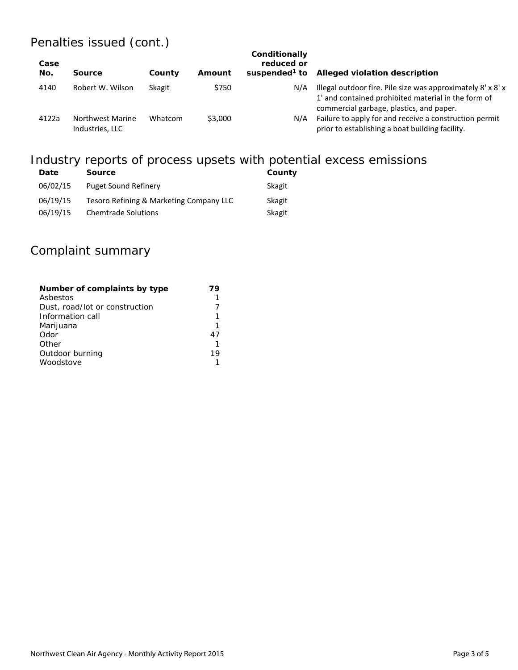## Penalties issued (cont.)

| Case<br>No. | <b>Source</b>                              | County  | Amount  | Conditionally<br>reduced or<br>suspended <sup>1</sup> to | Alleged violation description                                                                                                                                  |
|-------------|--------------------------------------------|---------|---------|----------------------------------------------------------|----------------------------------------------------------------------------------------------------------------------------------------------------------------|
| 4140        | Robert W. Wilson                           | Skagit  | \$750   | N/A                                                      | Illegal outdoor fire. Pile size was approximately 8' x 8' x<br>1' and contained prohibited material in the form of<br>commercial garbage, plastics, and paper. |
| 4122a       | <b>Northwest Marine</b><br>Industries, LLC | Whatcom | \$3,000 | N/A                                                      | Failure to apply for and receive a construction permit<br>prior to establishing a boat building facility.                                                      |

# Industry reports of process upsets with potential excess emissions

| Date     | <b>Source</b>                           | County |
|----------|-----------------------------------------|--------|
| 06/02/15 | Puget Sound Refinery                    | Skagit |
| 06/19/15 | Tesoro Refining & Marketing Company LLC | Skagit |
| 06/19/15 | <b>Chemtrade Solutions</b>              | Skagit |

### Complaint summary

| Number of complaints by type   |     |
|--------------------------------|-----|
| Asbestos                       |     |
| Dust, road/lot or construction |     |
| Information call               |     |
| Marijuana                      |     |
| Odor                           | 47  |
| Other                          |     |
| Outdoor burning                | 1 Q |
| Woodstove                      |     |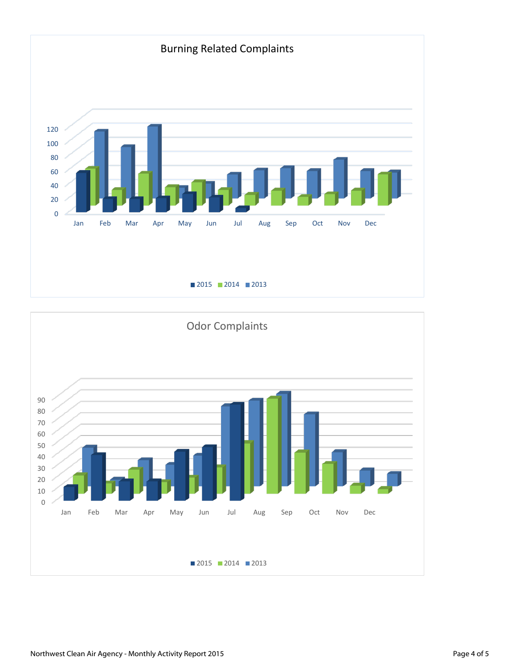